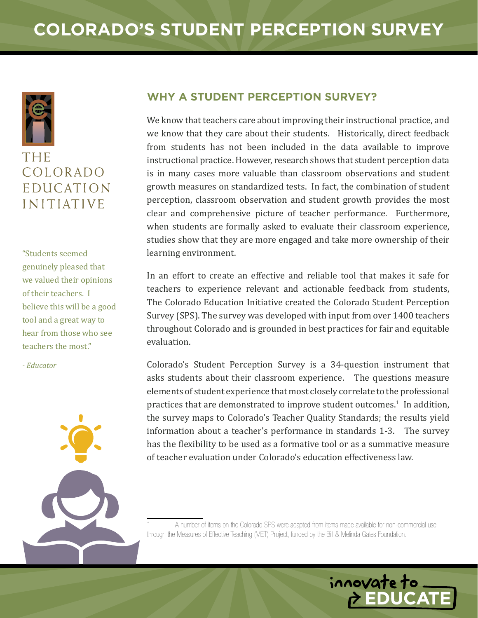

## THE COLORADO **EDUCATION INITIATIVE**

"Students seemed genuinely pleased that we valued their opinions of their teachers. I believe this will be a good tool and a great way to hear from those who see teachers the most."

- *Educator*



## **Why a Student Perception Survey?**

We know that teachers care about improving their instructional practice, and we know that they care about their students. Historically, direct feedback from students has not been included in the data available to improve instructional practice. However, research shows that student perception data is in many cases more valuable than classroom observations and student growth measures on standardized tests. In fact, the combination of student perception, classroom observation and student growth provides the most clear and comprehensive picture of teacher performance. Furthermore, when students are formally asked to evaluate their classroom experience, studies show that they are more engaged and take more ownership of their learning environment.

In an effort to create an effective and reliable tool that makes it safe for teachers to experience relevant and actionable feedback from students, The Colorado Education Initiative created the Colorado Student Perception Survey (SPS). The survey was developed with input from over 1400 teachers throughout Colorado and is grounded in best practices for fair and equitable evaluation.

Colorado's Student Perception Survey is a 34-question instrument that asks students about their classroom experience. The questions measure elements of student experience that most closely correlate to the professional practices that are demonstrated to improve student outcomes. $^1$  In addition, the survey maps to Colorado's Teacher Quality Standards; the results yield information about a teacher's performance in standards 1-3. The survey has the flexibility to be used as a formative tool or as a summative measure of teacher evaluation under Colorado's education effectiveness law.

A number of items on the Colorado SPS were adapted from items made available for non-commercial use through the Measures of Effective Teaching (MET) Project, funded by the Bill & Melinda Gates Foundation.